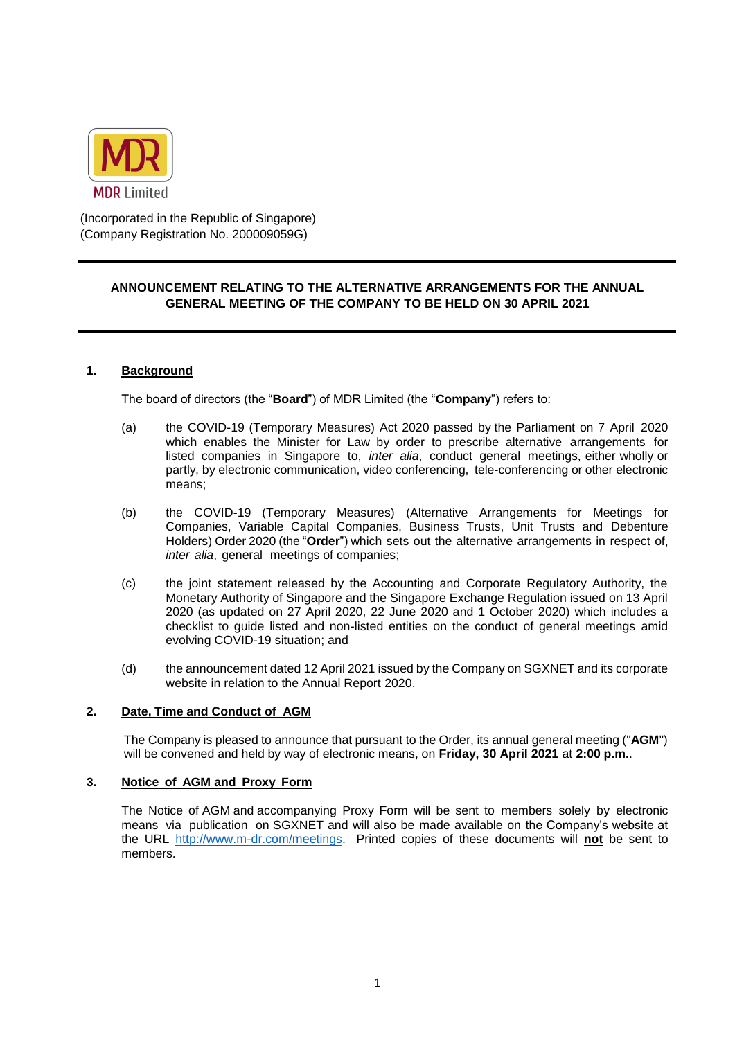

(Incorporated in the Republic of Singapore) (Company Registration No. 200009059G)

## **ANNOUNCEMENT RELATING TO THE ALTERNATIVE ARRANGEMENTS FOR THE ANNUAL GENERAL MEETING OF THE COMPANY TO BE HELD ON 30 APRIL 2021**

#### **1. Background**

The board of directors (the "**Board**") of MDR Limited (the "**Company**") refers to:

- (a) the COVID-19 (Temporary Measures) Act 2020 passed by the Parliament on 7 April 2020 which enables the Minister for Law by order to prescribe alternative arrangements for listed companies in Singapore to, *inter alia*, conduct general meetings, either wholly or partly, by electronic communication, video conferencing, tele-conferencing or other electronic means;
- (b) the COVID-19 (Temporary Measures) (Alternative Arrangements for Meetings for Companies, Variable Capital Companies, Business Trusts, Unit Trusts and Debenture Holders) Order 2020 (the "**Order**") which sets out the alternative arrangements in respect of, *inter alia*, general meetings of companies;
- (c) the joint statement released by the Accounting and Corporate Regulatory Authority, the Monetary Authority of Singapore and the Singapore Exchange Regulation issued on 13 April 2020 (as updated on 27 April 2020, 22 June 2020 and 1 October 2020) which includes a checklist to guide listed and non-listed entities on the conduct of general meetings amid evolving COVID-19 situation; and
- (d) the announcement dated 12 April 2021 issued by the Company on SGXNET and its corporate website in relation to the Annual Report 2020.

## **2. Date, Time and Conduct of AGM**

The Company is pleased to announce that pursuant to the Order, its annual general meeting ("**AGM**") will be convened and held by way of electronic means, on **Friday, 30 April 2021** at **2:00 p.m.**.

#### **3. Notice of AGM and Proxy Form**

The Notice of AGM and accompanying Proxy Form will be sent to members solely by electronic means via publication on SGXNET and will also be made available on the Company's website at the URL [http://www.m-dr.com/meetings.](http://www.m-dr.com/meetings) Printed copies of these documents will **not** be sent to members.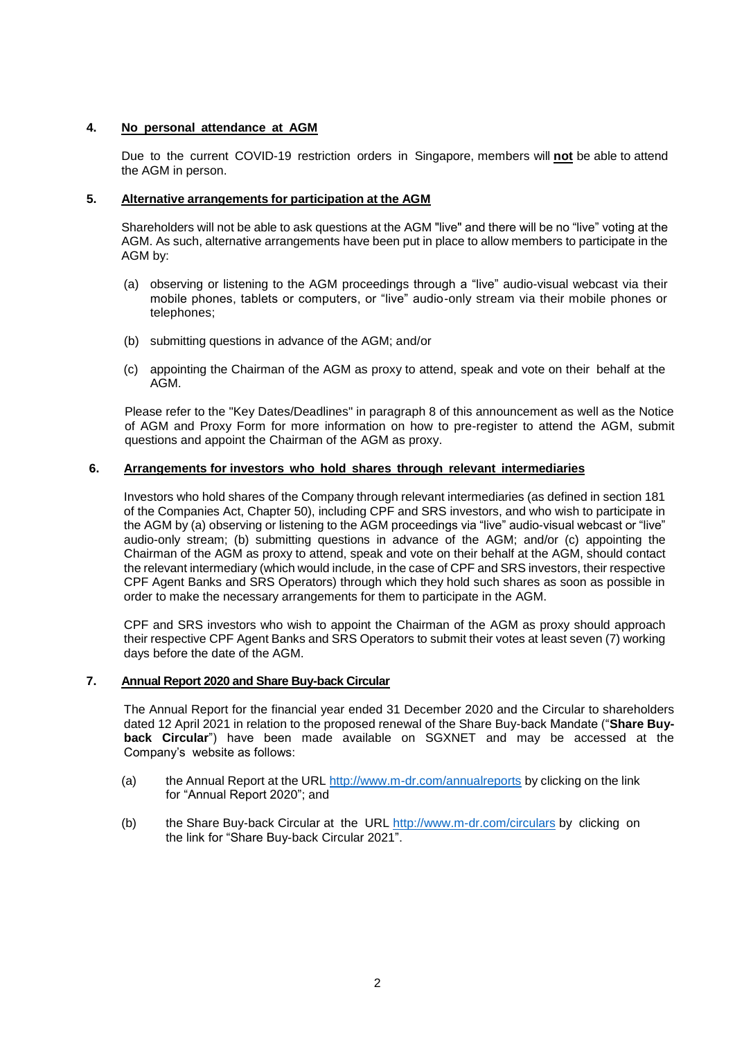## **4. No personal attendance at AGM**

Due to the current COVID-19 restriction orders in Singapore, members will **not** be able to attend the AGM in person.

#### **5. Alternative arrangements for participation at the AGM**

Shareholders will not be able to ask questions at the AGM "live" and there will be no "live" voting at the AGM. As such, alternative arrangements have been put in place to allow members to participate in the AGM by:

- (a) observing or listening to the AGM proceedings through a "live" audio-visual webcast via their mobile phones, tablets or computers, or "live" audio-only stream via their mobile phones or telephones;
- (b) submitting questions in advance of the AGM; and/or
- (c) appointing the Chairman of the AGM as proxy to attend, speak and vote on their behalf at the AGM.

Please refer to the "Key Dates/Deadlines" in paragraph 8 of this announcement as well as the Notice of AGM and Proxy Form for more information on how to pre-register to attend the AGM, submit questions and appoint the Chairman of the AGM as proxy.

## **6. Arrangements for investors who hold shares through relevant intermediaries**

Investors who hold shares of the Company through relevant intermediaries (as defined in section 181 of the Companies Act, Chapter 50), including CPF and SRS investors, and who wish to participate in the AGM by (a) observing or listening to the AGM proceedings via "live" audio-visual webcast or "live" audio-only stream; (b) submitting questions in advance of the AGM; and/or (c) appointing the Chairman of the AGM as proxy to attend, speak and vote on their behalf at the AGM, should contact the relevant intermediary (which would include, in the case of CPF and SRS investors, their respective CPF Agent Banks and SRS Operators) through which they hold such shares as soon as possible in order to make the necessary arrangements for them to participate in the AGM.

CPF and SRS investors who wish to appoint the Chairman of the AGM as proxy should approach their respective CPF Agent Banks and SRS Operators to submit their votes at least seven (7) working days before the date of the AGM.

### **7. Annual Report 2020 and Share Buy-back Circular**

The Annual Report for the financial year ended 31 December 2020 and the Circular to shareholders dated 12 April 2021 in relation to the proposed renewal of the Share Buy-back Mandate ("**Share Buyback Circular**") have been made available on SGXNET and may be accessed at the Company's website as follows:

- (a) the Annual Report at the URL<http://www.m-dr.com/annualreports> by clicking on the link for "Annual Report 2020"; and
- (b) the Share Buy-back Circular at the URL<http://www.m-dr.com/circulars> by clicking on the link for "Share Buy-back Circular 2021".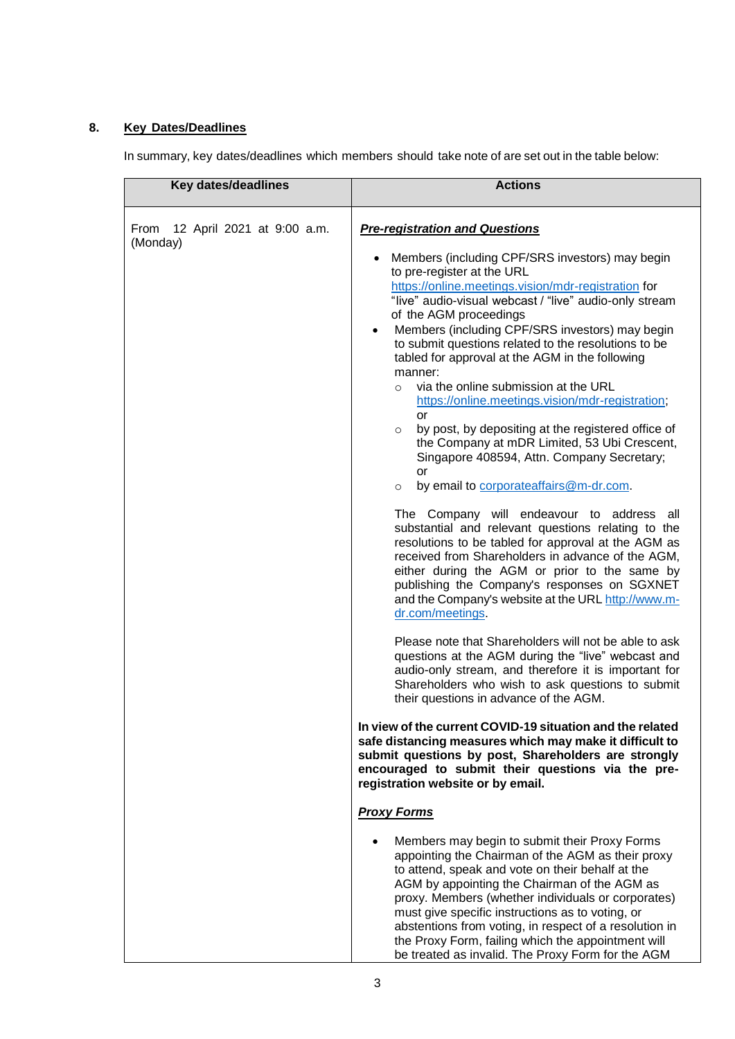# **8. Key Dates/Deadlines**

In summary, key dates/deadlines which members should take note of are set out in the table below: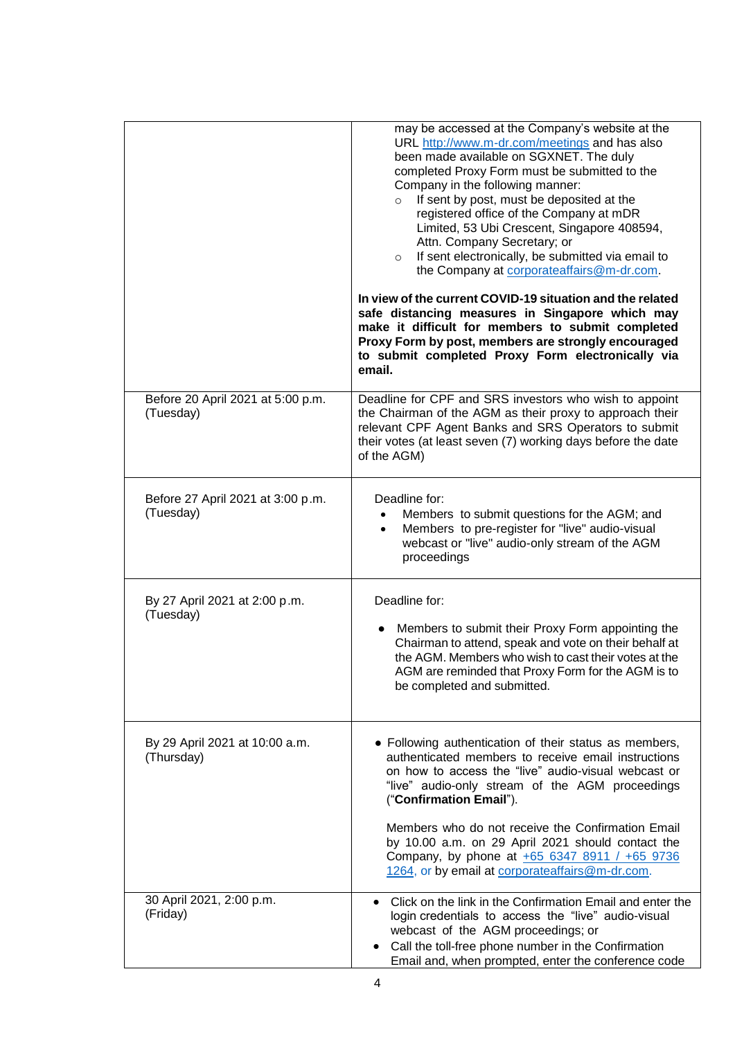|                                                | may be accessed at the Company's website at the<br>URL http://www.m-dr.com/meetings and has also<br>been made available on SGXNET. The duly<br>completed Proxy Form must be submitted to the<br>Company in the following manner:<br>If sent by post, must be deposited at the<br>$\circ$<br>registered office of the Company at mDR<br>Limited, 53 Ubi Crescent, Singapore 408594,<br>Attn. Company Secretary; or<br>If sent electronically, be submitted via email to<br>$\circ$<br>the Company at corporateaffairs@m-dr.com.<br>In view of the current COVID-19 situation and the related<br>safe distancing measures in Singapore which may<br>make it difficult for members to submit completed<br>Proxy Form by post, members are strongly encouraged<br>to submit completed Proxy Form electronically via |
|------------------------------------------------|-----------------------------------------------------------------------------------------------------------------------------------------------------------------------------------------------------------------------------------------------------------------------------------------------------------------------------------------------------------------------------------------------------------------------------------------------------------------------------------------------------------------------------------------------------------------------------------------------------------------------------------------------------------------------------------------------------------------------------------------------------------------------------------------------------------------|
|                                                | email.                                                                                                                                                                                                                                                                                                                                                                                                                                                                                                                                                                                                                                                                                                                                                                                                          |
| Before 20 April 2021 at 5:00 p.m.<br>(Tuesday) | Deadline for CPF and SRS investors who wish to appoint<br>the Chairman of the AGM as their proxy to approach their<br>relevant CPF Agent Banks and SRS Operators to submit<br>their votes (at least seven (7) working days before the date<br>of the AGM)                                                                                                                                                                                                                                                                                                                                                                                                                                                                                                                                                       |
| Before 27 April 2021 at 3:00 p.m.<br>(Tuesday) | Deadline for:<br>Members to submit questions for the AGM; and<br>$\bullet$<br>Members to pre-register for "live" audio-visual<br>$\bullet$<br>webcast or "live" audio-only stream of the AGM<br>proceedings                                                                                                                                                                                                                                                                                                                                                                                                                                                                                                                                                                                                     |
| By 27 April 2021 at 2:00 p.m.<br>(Tuesday)     | Deadline for:<br>Members to submit their Proxy Form appointing the<br>Chairman to attend, speak and vote on their behalf at<br>the AGM. Members who wish to cast their votes at the<br>AGM are reminded that Proxy Form for the AGM is to<br>be completed and submitted.                                                                                                                                                                                                                                                                                                                                                                                                                                                                                                                                        |
| By 29 April 2021 at 10:00 a.m.<br>(Thursday)   | • Following authentication of their status as members,<br>authenticated members to receive email instructions<br>on how to access the "live" audio-visual webcast or<br>"live" audio-only stream of the AGM proceedings<br>("Confirmation Email").<br>Members who do not receive the Confirmation Email<br>by 10.00 a.m. on 29 April 2021 should contact the<br>Company, by phone at +65 6347 8911 / +65 9736<br>1264, or by email at corporateaffairs@m-dr.com.                                                                                                                                                                                                                                                                                                                                                |
| 30 April 2021, 2:00 p.m.<br>(Friday)           | Click on the link in the Confirmation Email and enter the<br>login credentials to access the "live" audio-visual<br>webcast of the AGM proceedings; or<br>Call the toll-free phone number in the Confirmation<br>Email and, when prompted, enter the conference code                                                                                                                                                                                                                                                                                                                                                                                                                                                                                                                                            |